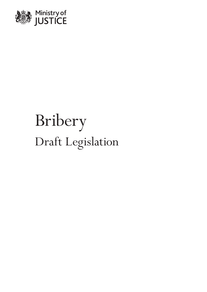

# Bribery Draft Legislation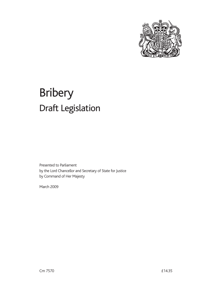

## Bribery Draft Legislation

Presented to Parliament by the Lord Chancellor and Secretary of State for Justice by Command of Her Majesty

March 2009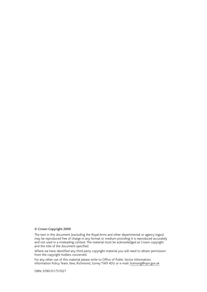#### © Crown Copyright 2009

The text in this document (excluding the Royal Arms and other departmental or agency logos) may be reproduced free of charge in any format or medium providing it is reproduced accurately and not used in a misleading context. The material must be acknowledged as Crown copyright and the title of the document specified.

Where we have identified any third party copyright material you will need to obtain permission from the copyright holders concerned.

For any other use of this material please write to Office of Public Sector Information, Information Policy Team, Kew, Richmond, Surrey TW9 4DU or e-mail: licensing@opsi.gov.uk

ISBN: 9780101757027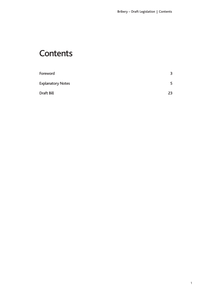## **Contents**

| Foreword                 | 3  |
|--------------------------|----|
| <b>Explanatory Notes</b> | 5  |
| Draft Bill               | 23 |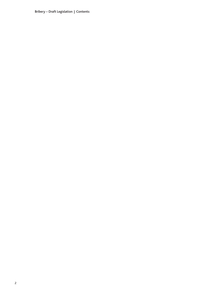Bribery – Draft Legislation  $|$  Contents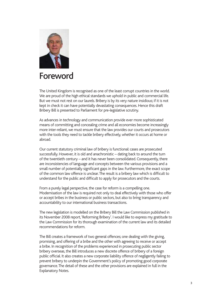

## Foreword

The United Kingdom is recognised as one of the least corrupt countries in the world. We are proud of the high ethical standards we uphold in public and commercial life. But we must not rest on our laurels. Bribery is by its very nature insidious; if it is not kept in check it can have potentially devastating consequences. Hence this draft Bribery Bill is presented to Parliament for pre-legislative scrutiny.

As advances in technology and communication provide ever more sophisticated means of committing and concealing crime and all economies become increasingly more inter-reliant, we must ensure that the law provides our courts and prosecutors with the tools they need to tackle bribery effectively, whether it occurs at home or abroad.

Our current statutory criminal law of bribery is functional: cases are prosecuted successfully. However, it is old and anachronistic – dating back to around the turn of the twentieth century – and it has never been consolidated. Consequently, there are inconsistencies of language and concepts between the various provisions and a small number of potentially significant gaps in the law. Furthermore, the exact scope of the common law offence is unclear. The result is a bribery law which is difficult to understand for the public and difficult to apply for prosecutors and the courts.

From a purely legal perspective, the case for reform is a compelling one. Modernisation of the law is required not only to deal effectively with those who offer or accept bribes in the business or public sectors, but also to bring transparency and accountability to our international business transactions.

The new legislation is modelled on the Bribery Bill the Law Commission published in its November 2008 report, 'Reforming Bribery'. I would like to express my gratitude to the Law Commission for its thorough examination of the current law and its detailed recommendations for reform.

The Bill creates a framework of two general offences; one dealing with the giving, promising, and offering of a bribe and the other with agreeing to receive or accept a bribe. In recognition of the problems experienced in prosecuting public sector bribery overseas, the Bill introduces a new discrete offence of bribery of a foreign public official. It also creates a new corporate liability offence of negligently failing to prevent bribery to underpin the Government's policy of promoting good corporate governance. The detail of these and the other provisions are explained in full in the Explanatory Notes.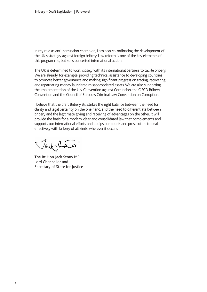In my role as anti-corruption champion, I am also co-ordinating the development of the UK's strategy against foreign bribery. Law reform is one of the key elements of this programme, but so is concerted international action.

The UK is determined to work closely with its international partners to tackle bribery. We are already, for example, providing technical assistance to developing countries to promote better governance and making significant progress on tracing, recovering and repatriating money laundered misappropriated assets. We are also supporting the implementation of the UN Convention against Corruption, the OECD Bribery Convention and the Council of Europe's Criminal Law Convention on Corruption.

I believe that the draft Bribery Bill strikes the right balance between the need for clarity and legal certainty on the one hand, and the need to differentiate between bribery and the legitimate giving and receiving of advantages on the other. It will provide the basis for a modern, clear and consolidated law that complements and supports our international efforts and equips our courts and prosecutors to deal effectively with bribery of all kinds, wherever it occurs.

Tack than

The Rt Hon Jack Straw MP Lord Chancellor and Secretary of State for Justice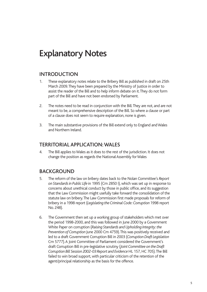## Explanatory Notes

## INTRODUCTION

- 1. These explanatory notes relate to the Bribery Bill as published in draft on 25th March 2009. They have been prepared by the Ministry of Justice in order to assist the reader of the Bill and to help inform debate on it. They do not form part of the Bill and have not been endorsed by Parliament.
- 2. The notes need to be read in conjunction with the Bill. They are not, and are not meant to be, a comprehensive description of the Bill. So where a clause or part of a clause does not seem to require explanation, none is given.
- 3. The main substantive provisions of the Bill extend only to England and Wales and Northern Ireland.

## TERRITORIAL APPLICATION: WALES

4. The Bill applies to Wales as it does to the rest of the jurisdiction. It does not change the position as regards the National Assembly for Wales

## BACKGROUND

- 5. The reform of the law on bribery dates back to the Nolan Committee's *Report on Standards in Public Life* in 1995 (Cm 2850 I), which was set up in response to concerns about unethical conduct by those in public office, and its suggestion that the Law Commission might usefully take forward the consolidation of the statute law on bribery. The Law Commission first made proposals for reform of bribery in a 1998 report (*Legislating the Criminal Code: Corruption* 1998 report No. 248).
- 6. The Government then set up a working group of stakeholders which met over the period 1998-2000, and this was followed in June 2000 by a Government White Paper on corruption (*Raising Standards and Upholding Integrity: the Prevention of Corruption* June 2000 Cm 4759). This was positively received and led to a draft Government Corruption Bill in 2003 (*Corruption Draft Legislation* Cm 5777). A Joint Committee of Parliament considered the Government's draft Corruption Bill in pre-legislative scrutiny (*Joint Committee on the Draft Corruption Bill Session 2002-03 Report and Evidence*HL 157, HC 705). The Bill failed to win broad support, with particular criticism of the retention of the agent/principal relationship as the basis for the offence.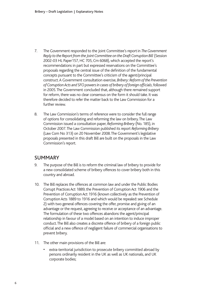- 7. The Government responded to the Joint Committee's reportin *The Government Reply to the Report from the Joint Committee on the Draft Corruption Bill* (Session 2002-03 HL Paper157, HC 705, Cm 6068), which accepted the report's recommendations in part but expressed reservations on the Committee's proposals regarding the central issue of the definition of the fundamental concepts pursuant to the Committee's criticism of the agent/principal construct. A Government consultation exercise, *Bribery: Reform of the Prevention of Corruption Acts and SFO powers in cases of bribery of foreign officials*, followed in 2005. The Government concluded that, although there remained support for reform, there was no clear consensus on the form it should take. It was therefore decided to refer the matter back to the Law Commission for a further review.
- 8. The Law Commission's terms of reference were to consider the full range of options for consolidating and reforming the law on bribery. The Law Commission issued a consultation paper, *Reforming Bribery* (No. 185), in October 2007. The Law Commission published its report *Reforming Bribery* (Law Com No 313) on 20 November 2008. The Government's legislative proposals presented in this draft Bill are built on the proposals in the Law Commission's report.

## SUMMARY

- 9. The purpose of the Bill is to reform the criminal law of bribery to provide for a new consolidated scheme of bribery offences to cover bribery both in this country and abroad.
- 10. The Bill replaces the offences at common law and under the Public Bodies Corrupt Practices Act 1889, the Prevention of Corruption Act 1906 and the Prevention of Corruption Act 1916 (known collectively as the Prevention of Corruption Acts 1889 to 1916 and which would be repealed: see Schedule 2) with two general offences covering the offer, promise and giving of an advantage or the request, agreeing to receive or acceptance of an advantage. The formulation of these two offences abandons the agent/principal relationship in favour of a model based on an intention to induce improper conduct. The Bill also creates a discrete offence of bribery of a foreign public official and a new offence of negligent failure of commercial organisations to prevent bribery.
- 11. The other main provisions of the Bill are:
	- extra-territorial jurisdiction to prosecute bribery committed abroad by persons ordinarily resident in the UK as well as UK nationals, and UK corporate bodies;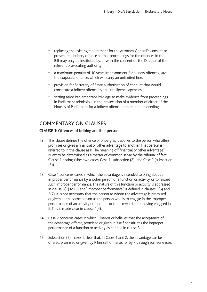- replacing the existing requirement for the Attorney General's consent to prosecute a bribery offence so that proceedings for the offences in the Bill may only be instituted by, or with the consent of, the Director of the relevant prosecuting authority;
- a maximum penalty of 10 years imprisonment for all new offences, save the corporate offence, which will carry an unlimited fine.
- provision for Secretary of State authorisation of conduct that would constitute a bribery offence by the intelligence agencies;
- setting aside Parliamentary Privilege to make evidence from proceedings in Parliament admissible in the prosecution of a member of either of the Houses of Parliament for a bribery offence or in related proceedings.

## COMMENTARY ON CLAUSES

## CLAUSE 1: Offences of bribing another person

- 12. This clause defines the offence of bribery as it applies to the person who offers, promises or gives a financial or other advantage to another. That person is referred to in the clause as P. The meaning of "financial or other advantage" is left to be determined as a matter of common sense by the tribunal of fact. Clause 1 distinguishes two cases; Case 1 (subsection (2)) and Case 2 (subsection  $(3)$ ).
- 13. Case 1 concerns cases in which the advantage is intended to bring about an improper performance by another person of a function or activity, or to reward such improper performance. The nature of this function or activity is addressed in clause 3(1) to (5) and "improper performance" is defined in clauses 3(6) and 3(7). It is not necessary that the person to whom the advantage is promised or given be the same person as the person who is to engage in the improper performance of an activity or function, or to be rewarded for having engaged in it. This is made clear in clause 1(4).
- 14. Case 2 concerns cases in which P knows or believes that the acceptance of the advantage offered, promised or given in itself constitutes the improper performance of a function or activity as defined in clause 3.
- 15. Subsection (5) makes it clear that, in Cases 1 and 2, the advantage can be offered, promised or given by P himself or herself or by P through someone else.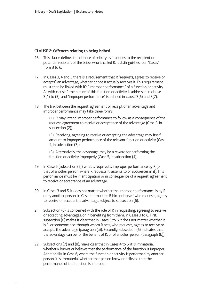## CLAUSE 2: Offences relating to being bribed

- 16. This clause defines the offence of bribery as it applies to the recipient or potential recipient of the bribe, who is called R. It distinguishes four "Cases" from 3 to 6.
- 17. In Cases 3, 4 and 5 there is a requirement that R "requests, agrees to receive or accepts" an advantage, whether or not R actually receives it. This requirement must then be linked with R's "improper performance" of a function or activity. As with clause 1 the nature of this function or activity is addressed in clause 3(1) to (5), and "improper performance" is defined in clause 3(6) and 3(7).
- 18. The link between the request, agreement or receipt of an advantage and improper performance may take three forms:

(1) R may intend improper performance to follow as a consequence of the request, agreement to receive or acceptance of the advantage (Case 3, in subsection (2)).

(2) Receiving, agreeing to receive or accepting the advantage may itself amount to improper performance of the relevant function or activity (Case 4, in subsection (3)).

(3) Alternatively, the advantage may be a reward for performing the function or activity improperly (Case 5, in subsection (4)).

- 19. In Case 6 (subsection (5)) what is required is improper performance by R (or that of another person, where R requests it, assents to or acquiesces in it). This performance must be in anticipation or in consequence of a request, agreement to receive or acceptance of an advantage.
- 20. In Cases 3 and 5, it does not matter whether the improper performance is by R or by another person. In Case 4 it must be R him or herself who requests, agrees to receive or accepts the advantage, subject to subsection (6).
- 21. Subsection (6) is concerned with the role of R in requesting, agreeing to receive or accepting advantages, or in benefiting from them, in Cases 3 to 6. First, subsection (6) makes it clear that in Cases 3 to 6 it does not matter whether it is R, or someone else through whom R acts, who requests, agrees to receive or accepts the advantage (paragraph (a)). Secondly, subsection (6) indicates that the advantage can be for the benefit of R, or of another person (paragraph (b)).
- 22. Subsections (7) and (8), make clear that in Cases 4 to 6, it is immaterial whether R knows or believes that the performance of the function is improper. Additionally, in Case 6, where the function or activity is performed by another person, it is immaterial whether that person knew or believed that the performance of the function is improper.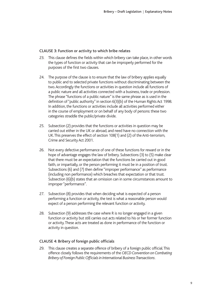## CLAUSE 3: Function or activity to which bribe relates

- 23. This clause defines the fields within which bribery can take place, in other words the types of function or activity that can be improperly performed for the purposes of the first two clauses.
- 24. The purpose of the clause is to ensure that the law of bribery applies equally to public and to selected private functions without discriminating between the two. Accordingly the functions or activities in question include all functions of a public nature and all activities connected with a business, trade or profession. The phrase "functions of a public nature" is the same phrase as is used in the definition of "public authority" in section 6(3)(b) of the Human Rights Act 1998. In addition, the functions or activities include all activities performed either in the course of employment or on behalf of any body of persons: these two categories straddle the public/private divide.
- 25. Subsection (2) provides that the functions or activities in question may be carried out either in the UK or abroad, and need have no connection with the UK. This preserves the effect of section 108(1) and (2) of the Anti-terrorism, Crime and Security Act 2001.
- 26. Not every defective performance of one of these functions for reward or in the hope of advantage engages the law of bribery. Subsections (3) to (5) make clear that there must be an expectation that the functions be carried out in good faith, or impartially, or the person performing it must be in a position of trust. Subsections (6) and (7) then define "improper performance" as performance (including non performance) which breaches that expectation or that trust. Subsection (6)(b) states that an omission can in some circumstances amount to improper "performance".
- 27. Subsection (8) provides that when deciding what is expected of a person performing a function or activity, the test is what a reasonable person would expect of a person performing the relevant function or activity.
- 28. Subsection (9) addresses the case where R is no longer engaged in a given function or activity but still carries out acts related to his or her former function or activity. These acts are treated as done in performance of the function or activity in question.

## CLAUSE 4: Bribery of foreign public officials

29. This clause creates a separate offence of bribery of a foreign public official. This offence closely follows the requirements of the *OECD Convention on Combating Bribery of Foreign Public Officials in International Business Transactions*.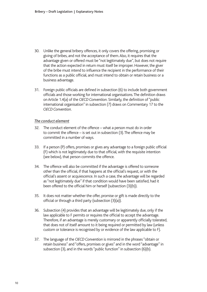- 30. Unlike the general bribery offences, it only covers the offering, promising or giving of bribes, and not the acceptance of them. Also, it requires that the advantage given or offered must be "not legitimately due", but does not require that the action expected in return must itself be improper. However, the giver of the bribe must intend to influence the recipient in the performance of their functions as a public official, and must intend to obtain or retain business or a business advantage.
- 31. Foreign public officials are defined in subsection (6) to include both government officials and those working for international organisations. The definition draws on Article 1.4(a) of the *OECD Convention*. Similarly, the definition of "public international organisation" in subsection (7) draws on Commentary 17 to the *OECD Convention*.

## *The conduct element*

- 32. The conduct element of the offence what a person must do in order to commit the offence – is set out in subsection (3). The offence may be committed in a number of ways.
- 33. If a person (P) offers, promises or gives any advantage to a foreign public official (F) which is not legitimately due to that official, with the requisite intention (see below), that person commits the offence.
- 34. The offence will also be committed if the advantage is offered to someone other than the official, if that happens at the official's request, or with the official's assent or acquiescence. In such a case, the advantage will be regarded as "not legitimately due" if that condition would have been satisfied, had it been offered to the official him or herself (subsection (3)(b)).
- 35. It does not matter whether the offer, promise or gift is made directly to the official or through a third party (subsection (3)(a)).
- 36. Subsection (4) provides that an advantage will be legitimately due, only if the law applicable to F permits or requires the official to accept the advantage. Therefore, if an advantage is merely customary or apparently officially tolerated, that does not of itself amount to it being required or permitted by law (unless custom or tolerance is recognised by or evidence of the law applicable to F).
- 37. The language of the *OECD Convention* is mirrored in the phrases "obtain or retain business" and "offers, promises or gives" and in the word "advantage" in subsection (3), and in the words "public function" in subsection (6)(b).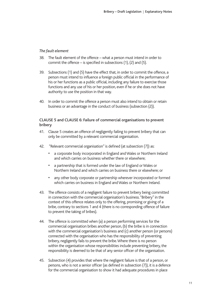## *The fault element*

- 38. The fault element of the offence what a person must intend in order to commit the offence – is specified in subsections (1), (2) and (5).
- 39. Subsections (1) and (5) have the effect that, in order to commit the offence, a person must intend to influence a foreign public official in the performance of his or her functions as a public official, including any failure to exercise those functions and any use of his or her position, even if he or she does not have authority to use the position in that way.
- 40. In order to commit the offence a person must also intend to obtain or retain business or an advantage in the conduct of business (subsection (2)).

## CLAUSE 5 and CLAUSE 6: Failure of commercial organisations to prevent bribery

- 41. Clause 5 creates an offence of negligently failing to prevent bribery that can only be committed by a relevant commercial organisation.
- 42. "Relevant commercial organisation" is defined (at subsection (7)) as:
	- a corporate body incorporated in England and Wales or Northern Ireland and which carries on business whether there or elsewhere;
	- a partnership that is formed under the law of England or Wales or Northern Ireland and which carries on business there or elsewhere; or
	- any other body corporate or partnership wherever incorporated or formed which carries on business in England and Wales or Northern Ireland.
- 43. The offence consists of a negligent failure to prevent bribery being committed in connection with the commercial organisation's business. "Bribery" in the context of this offence relates only to the offering, promising or giving of a bribe, contrary to sections 1 and 4 (there is no corresponding offence of failure to prevent the taking of bribes).
- 44. The offence is committed when (a) a person performing services for the commercial organisation bribes another person, (b) the bribe is in connection with the commercial organisation's business and (c) another person (or persons) connected with the organisation who has the responsibility of preventing bribery, negligently fails to prevent the bribe. Where there is no person within the organisation whose responsibilities include preventing bribery, the responsibility is deemed to be that of any senior officer of the organisation.
- 45. Subsection (4) provides that where the negligent failure is that of a person, or persons, who is not a senior officer (as defined in subsection (7)), it is a defence for the commercial organisation to show it had adequate procedures in place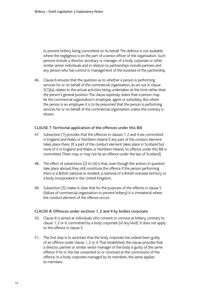to prevent bribery being committed on its behalf. The defence is not available where the negligence is on the part of a senior officer of the organisation. Such persons include a director, secretary or manager of a body corporate or other similar senior individuals and in relation to partnerships include partners and any person who has control or management of the business of the partnership.

46. Clause 6 ensures that the question as to whether a person is performing services for or on behalf of the commercial organisation, as set out in clause 5(1)(a), relates to the actual activities being undertaken at the time rather than the person's general position. The clause expressly states that a person may be the commercial organisation's employee, agent or subsidiary. But where the person is an employee it is to be presumed that the person is performing services for or on behalf of the commercial organisation unless the contrary is shown.

## CLAUSE 7: Territorial application of the offences under this Bill

- 47. Subsection (1) provides that the offences in clauses 1, 2 and 4 are committed in England and Wales or Northern Ireland if any part of the conduct element takes place there. (If a part of the conduct element takes place in Scotland but none of it in England and Wales or Northern Ireland, no offence under this Bill is committed. There may or may not be an offence under the law of Scotland).
- 48. The effect of subsections (2) to (4) is that, even though the actions in question take place abroad, they still constitute the offence if the person performing them is a British national or resident, a national of a British overseas territory or a body incorporated in the United Kingdom.
- 49. Subsection (5) makes it clear that for the purposes of the offence in clause 5 (failure of commercial organisation to prevent bribery) it is immaterial where the conduct element of the offence occurs.

### CLAUSE 8: Offences under sections 1, 2 and 4 by bodies corporate

- 50. Clause 8 is aimed at individuals who consent or connive at bribery, contrary to clause 1, 2 or 4, committed by a body corporate (of any kind). It does not apply to the offence in clause 5.
- 51. The first step is to ascertain that the body corporate has indeed been guilty of an offence under clause 1, 2 or 4. That established, the clause provides that a director, partner or similar senior manager of the body is guilty of the same offence if he or she has consented to or connived at the commission of the offence. In a body corporate managed by its members, the same applies to members.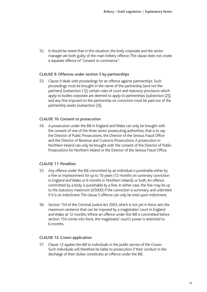52. It should be noted that in this situation, the body corporate and the senior manager are both guilty of the main bribery offence. This clause does not create a separate offence of "consent or connivance".

## CLAUSE 9: Offences under section 5 by partnerships

53. Clause 9 deals with proceedings for an offence against partnerships. Such proceedings must be brought in the name of the partnership (and not the partners) (subsection (1)); certain rules of court and statutory provisions which apply to bodies corporate are deemed to apply to partnerships (subsection (2)); and any fine imposed on the partnership on conviction must be paid out of the partnership assets (subsection (3)).

## CLAUSE 10: Consent to prosecution

54. A prosecution under the Bill in England and Wales can only be brought with the consent of one of the three senior prosecuting authorities, that is to say the Director of Public Prosecutions, the Director of the Serious Fraud Office and the Director of Revenue and Customs Prosecutions. A prosecution in Northern Ireland can only be brought with the consent of the Director of Public Prosecutions for Northern Ireland or the Director of the Serious Fraud Office.

## CLAUSE 11: Penalties

- 55. Any offence under the Bill committed by an individual is punishable either by a fine or imprisonment for up to 10 years (12 months on summary conviction in England and Wales or 6 months in Northern Ireland), or both. An offence committed by a body is punishable by a fine. In either case, the fine may be up to the statutory maximum (£5000) if the conviction is summary, and unlimited if it is on indictment. The clause 5 offence can only be tried upon indictment.
- 56. Section 154 of the Criminal Justice Act 2003, which is not yet in force, sets the maximum sentence that can be imposed by a magistrates' court in England and Wales at 12 months. Where an offence under this Bill is committed before section 154 comes into force, the magistrates' court's power is restricted to 6 months.

## CLAUSE 12: Crown application

57. Clause 12 applies the Bill to individuals in the public service of the Crown. Such individuals will therefore be liable to prosecution if their conduct in the discharge of their duties constitutes an offence under the Bill.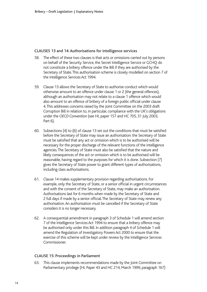## CLAUSES 13 and 14: Authorisations for intelligence services

- 58. The effect of these two clauses is that acts or omissions carried out by persons on behalf of the Security Service, the Secret Intelligence Service or GCHQ do not constitute a bribery offence under the Bill if they are authorised by the Secretary of State. This authorisation scheme is closely modelled on section 7 of the Intelligence Services Act 1994.
- 59. Clause 13 allows the Secretary of State to authorise conduct which would otherwise amount to an offence under clause 1 or 2 (the general offences), although an authorisation may not relate to a clause 1 offence which would also amount to an offence of bribery of a foreign public official under clause 4. This addresses concerns raised by the Joint Committee on the 2003 draft Corruption Bill in relation to, in particular, compliance with the UK's obligations under the *OECD Convention* (see HL paper 157 and HC 705, 31 July 2003, Part 6).
- 60. Subsections (4) to (6) of clause 13 set out the conditions that must be satisfied before the Secretary of State may issue an authorisation: the Secretary of State must be satisfied that any act or omission which is to be authorised will be necessary for the proper discharge of the relevant functions of the intelligence agencies. The Secretary of State must also be satisfied that the nature and likely consequences of the act or omission which is to be authorised will be reasonable, having regard to the purposes for which it is done. Subsection (7) gives the Secretary of State power to grant different types of authorisations, including class authorisations.
- 61. Clause 14 makes supplementary provision regarding authorisations. For example, only the Secretary of State, or a senior official in urgent circumstances and with the consent of the Secretary of State, may make an authorisation. Authorisations last for 6 months when made by the Secretary of State and 2 full days if made by a senior official. The Secretary of State may renew any authorisation. An authorisation must be cancelled if the Secretary of State considers it is no longer necessary.
- 62. A consequential amendment in paragraph 3 of Schedule 1 will amend section 7 of the Intelligence Services Act 1994 to ensure that a bribery offence may be authorised only under this Bill. In addition paragraph 4 of Schedule 1 will amend the Regulation of Investigatory Powers Act 2000 to ensure that the exercise of this scheme will be kept under review by the Intelligence Services Commissioner.

## CLAUSE 15: Proceedings in Parliament

63. This clause implements recommendations made by the Joint Committee on Parliamentary privilege (HL Paper 43 and HC 214, March 1999, paragraph 167)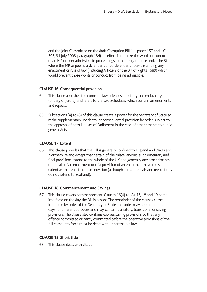and the Joint Committee on the draft Corruption Bill (HL paper 157 and HC 705, 31 July 2003, paragraph 134). Its effect is to make the words or conduct of an MP or peer admissible in proceedings for a bribery offence under the Bill where the MP or peer is a defendant or co-defendant notwithstanding any enactment or rule of law (including Article 9 of the Bill of Rights 1689) which would prevent those words or conduct from being admissible.

## CLAUSE 16: Consequential provision

- 64. This clause abolishes the common law offences of bribery and embracery (bribery of jurors), and refers to the two Schedules, which contain amendments and repeals.
- 65. Subsections (4) to (8) of this clause create a power for the Secretary of State to make supplementary, incidental or consequential provision by order, subject to the approval of both Houses of Parliament in the case of amendments to public general Acts.

## CLAUSE 17: Extent

66. This clause provides that the Bill is generally confined to England and Wales and Northern Ireland except that certain of the miscellaneous, supplementary and final provisions extend to the whole of the UK and generally any amendments or repeals of an enactment or of a provision of an enactment have the same extent as that enactment or provision (although certain repeals and revocations do not extend to Scotland).

## CLAUSE 18: Commencement and Savings

67. This clause covers commencement. Clauses 16(4) to (8), 17, 18 and 19 come into force on the day the Bill is passed. The remainder of the clauses come into force by order of the Secretary of State; this order may appoint different days for different purposes and may contain transitory, transitional or saving provisions. The clause also contains express saving provisions so that any offence committed or partly committed before the operative provisions of the Bill come into force must be dealt with under the old law.

## CLAUSE 19: Short title

68. This clause deals with citation.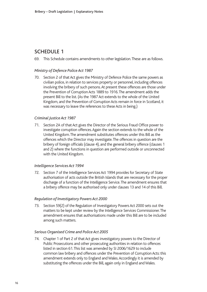## SCHEDULE 1

69. This Schedule contains amendments to other legislation. These are as follows.

## *Ministry of Defence Police Act 1987*

70. Section 2 of that Act gives the Ministry of Defence Police the same powers as civilian police, in relation to services property or personnel, including offences involving the bribery of such persons. At present these offences are those under the Prevention of Corruption Acts 1889 to 1916. The amendment adds the present Bill to the list. (As the 1987 Act extends to the whole of the United Kingdom, and the Prevention of Corruption Acts remain in force in Scotland, it was necessary to leave the references to these Acts in being.)

## *Criminal Justice Act 1987*

71. Section 2A of that Act gives the Director of the Serious Fraud Office power to investigate corruption offences. Again the section extends to the whole of the United Kingdom. The amendment substitutes offences under this Bill as the offences which the Director may investigate. The offences in question are the bribery of foreign officials (clause 4), and the general bribery offence (clauses 1 and 2) where the functions in question are performed outside or unconnected with the United Kingdom.

## *Intelligence Services Act 1994*

72. Section 7 of the Intelligence Services Act 1994 provides for Secretary of State authorisation of acts outside the British Islands that are necessary for the proper discharge of a function of the Intelligence Service. The amendment ensures that a bribery offence may be authorised only under clauses 13 and 14 of this Bill.

## *Regulation of Investigatory Powers Act 2000*

73. Section 59(2) of the Regulation of Investigatory Powers Act 2000 sets out the matters to be kept under review by the Intelligence Services Commissioner. The amendment ensures that authorisations made under this Bill are to be included among such matters.

## *Serious Organised Crime and Police Act 2005*

74. Chapter 1 of Part 2 of that Act gives investigatory powers to the Director of Public Prosecutions and other prosecuting authorities in relation to offences listed in section 61. This list was amended by SI 2006/1629 to include common law bribery and offences under the Prevention of Corruption Acts: this amendment extends only to England and Wales. Accordingly it is amended by substituting the offences under the Bill, again only in England and Wales.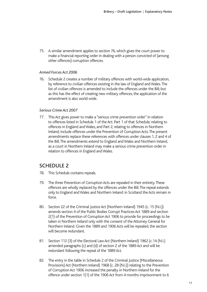75. A similar amendment applies to section 76, which gives the court power to make a financial reporting order in dealing with a person convicted of (among other offences) corruption offences.

## *Armed Forces Act 2006*

76. Schedule 2 creates a number of military offences with world-wide application, by reference to civilian offences existing in the law of England and Wales. The list of civilian offences is amended to include the offences under the Bill; but as this has the effect of creating new military offences, the application of the amendment is also world-wide.

## *Serious Crime Act 2007*

77. This Act gives power to make a "serious crime prevention order" in relation to offences listed in Schedule 1 of the Act. Part 1 of that Schedule, relating to offences in England and Wales, and Part 2, relating to offences in Northern Ireland, include offences under the Prevention of Corruption Acts. The present amendments replace these references with offences under clauses 1, 2 and 4 of the Bill. The amendments extend to England and Wales and Northern Ireland, as a court in Northern Ireland may make a serious crime prevention order in relation to offences in England and Wales.

## SCHEDULE 2

- 78. This Schedule contains repeals.
- 79. The three Prevention of Corruption Acts are repealed in their entirety. These offences are wholly replaced by the offences under the Bill. The repeal extends only to England and Wales and Northern Ireland: in Scotland the Acts remain in force.
- 80. Section 22 of the Criminal Justice Act (Northern Ireland) 1945 (c. 15 (N.I.)) amends section 4 of the Public Bodies Corrupt Practices Act 1889 and section 2(1) of the Prevention of Corruption Act 1906 to provide for proceedings to be taken in Northern Ireland only with the consent of the Attorney General for Northern Ireland. Given the 1889 and 1906 Acts will be repealed, the section will become redundant.
- 81. Section 112 (3) of the Electoral Law Act (Northern Ireland) 1962 (c.14 (N.I.) amended paragraphs (c) and (d) of section 2 of the 1889 Act and will be redundant following the repeal of the 1889 Act.
- 82. The entry in the table in Schedule 2 of the Criminal Justice (Miscellaneous Provisions) Act (Northern Ireland) 1968 (c. 28 (N.I.)) relating to the Prevention of Corruption Act 1906 increased the penalty in Northern Ireland for the offence under section 1(1) of the 1906 Act from 4 months imprisonment to 6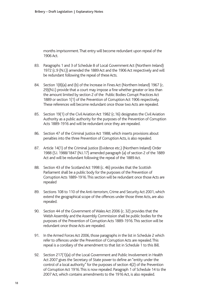months imprisonment. That entry will become redundant upon repeal of the 1906 Act.

- 83. Paragraphs 1 and 3 of Schedule 8 of Local Government Act (Northern Ireland) 1972 (c.9 (N.I.)) amended the 1889 Act and the 1906 Act respectively and will be redundant following the repeal of these Acts.
- 84. Section 1(8)(a) and (b) of the Increase in Fines Act (Northern Ireland) 1967 (c. 29)(N.I.) provide that a court may impose a fine whether greater or less than the amount limited by section 2 of the Public Bodies Corrupt Practices Act 1889 or section 1(1) of the Prevention of Corruption Act 1906 respectively. These references will become redundant once those two Acts are repealed.
- 85. Section 19(1) of the Civil Aviation Act 1982 (c.16) designates the Civil Aviation Authority as a public authority for the purposes of the Prevention of Corruption Acts 1889-1916 and will be redundant once they are repealed.
- 86. Section 47 of the Criminal Justice Act 1988, which inserts provisions about penalties into the three Prevention of Corruption Acts, is also repealed.
- 87. Article 14(1) of the Criminal Justice (Evidence etc.) (Northern Ireland) Order 1988 (S.I. 1988/1847 (N.I.17) amended paragraph (a) of section 2 of the 1889 Act and will be redundant following the repeal of the 1889 Act.
- 88. Section 43 of the Scotland Act 1998 (c. 46) provides that the Scottish Parliament shall be a public body for the purposes of the Prevention of Corruption Acts 1889-1916. This section will be redundant once those Acts are repealed
- 89. Sections 108 to 110 of the Anti-terrorism, Crime and Security Act 2001, which extend the geographical scope of the offences under those three Acts, are also repealed.
- 90. Section 44 of the Government of Wales Act 2006 (c. 32) provides that the Welsh Assembly and the Assembly Commission shall be public bodies for the purposes of the Prevention of Corruption Acts 1889-1916. This section will be redundant once those Acts are repealed.
- 91. In the Armed Forces Act 2006, those paragraphs in the list in Schedule 2 which refer to offences under the Prevention of Corruption Acts are repealed. This repeal is a corollary of the amendment to that list in Schedule 1 to this Bill.
- 92. Section 217(1)(a) of the Local Government and Public Involvement in Health Act 2007 gives the Secretary of State power to define an "entity under the control of a local authority" for the purposes of section 4(2) of the Prevention of Corruption Act 1916. This is now repealed. Paragraph 1 of Schedule 14 to the 2007 Act, which contains amendments to the 1916 Act, is also repealed.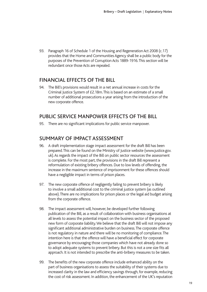93. Paragraph 16 of Schedule 1 of the Housing and Regeneration Act 2008 (c.17) provides that the Home and Communities Agency shall be a public body for the purposes of the Prevention of Corruption Acts 1889-1916. This section will be redundant once those Acts are repealed.

## FINANCIAL EFFECTS OF THE BILL

94. The Bill's provisions would result in a net annual increase in costs for the Criminal Justice System of £2.18m. This is based on an estimate of a small number of additional prosecutions a year arising from the introduction of the new corporate offence.

## PUBLIC SERVICE MANPOWER EFFECTS OF THE BILL

95. There are no significant implications for public service manpower.

## SUMMARY OF IMPACT ASSESSMENT

- 96. A draft implementation stage impact assessment for the draft Bill has been prepared. This can be found on the Ministry of Justice website (www.justice.gov. uk). As regards the impact of the Bill on public sector resources the assessment is complete. For the most part, the provisions in the draft Bill represent a reformulation of existing bribery offences. Due to low levels of offending, the increase in the maximum sentence of imprisonment for these offences should have a negligible impact in terms of prison places.
- 97. The new corporate offence of negligently failing to prevent bribery is likely to involve a small additional cost to the criminal justice system (as outlined above). There are no implications for prison places or the legal aid budget arising from the corporate offence.
- 98. The impact assessment will, however, be developed further following publication of the Bill, as a result of collaboration with business organisations at all levels to assess the potential impact on the business sector of the proposed new form of corporate liability. We believe that the draft Bill will not impose any significant additional administrative burden on business. The corporate offence is not regulatory in nature and there will be no monitoring of compliance. The intention here is that the offence will have a beneficial effect for corporate governance by encouraging those companies which have not already done so to adopt adequate systems to prevent bribery. But this is not a one size fits all approach. It is not intended to prescribe the anti-bribery measures to be taken.
- 99. The benefits of the new corporate offence include enhanced ability on the part of business organisations to assess the suitability of their systems due to increased clarity in the law and efficiency savings through, for example, reducing the cost of risk assessment. In addition, the enhancement of the UK's reputation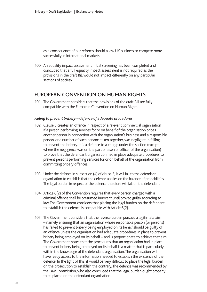as a consequence of our reforms should allow UK business to compete more successfully in international markets.

100. An equality impact assessment initial screening has been completed and concluded that a full equality impact assessment is not required as the provisions in the draft Bill would not impact differently on any particular sections of society.

## EUROPEAN CONVENTION ON HUMAN RIGHTS

101. The Government considers that the provisions of the draft Bill are fully compatible with the European Convention on Human Rights.

## *Failing to prevent bribery – defence of adequate procedures*

- 102. Clause 5 creates an offence in respect of a relevant commercial organisation if a person performing services for or on behalf of the organisation bribes another person in connection with the organisation's business and a responsible person, or a number of such persons taken together, was negligent in failing to prevent the bribery. It is a defence to a charge under the section (except where the negligence was on the part of a senior officer of the organisation) to prove that the defendant organisation had in place adequate procedures to prevent persons performing services for or on behalf of the organisation from committing bribery offences.
- 103. Under the defence in subsection (4) of clause 5, it will fall to the defendant organisation to establish that the defence applies on the balance of probabilities. The legal burden in respect of the defence therefore will fall on the defendant.
- 104. Article 6(2) of the Convention requires that every person charged with a criminal offence shall be presumed innocent until proved guilty according to law. The Government considers that placing the legal burden on the defendant to establish the defence is compatible with Article 6(2).
- 105. The Government considers that the reverse burden pursues a legitimate aim – namely ensuring that an organisation whose responsible person (or persons) has failed to prevent bribery being employed on its behalf should be guilty of an offence unless the organisation had adequate procedures in place to prevent bribery being employed on its behalf – and is proportionate to achieve that aim. The Government notes that the procedures that an organisation had in place to prevent bribery being employed on its behalf is a matter that is particularly within the knowledge of the defendant organisation. The organisation will have ready access to the information needed to establish the existence of the defence. In the light of this, it would be very difficult to place the legal burden on the prosecution to establish the contrary. The defence was recommended by the Law Commission, who also concluded that the legal burden ought properly to be placed on the defendant organisation.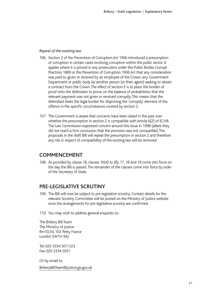## *Repeal of the existing law*

- 106. Section 2 of the Prevention of Corruption Act 1906 introduced a presumption of corruption in certain cases involving corruption within the public sector. It applies where it is proved in any prosecution under the Public Bodies Corrupt Practices 1889 or the Prevention of Corruption 1906 Act that any consideration was paid to, given or received by an employee of the Crown, any Government Department or public body by another person (or their agent) seeking to obtain a contract from the Crown. The effect of section 2 is to place the burden of proof onto the defendant to prove, on the balance of probabilities, that the relevant payment was not given or received corruptly. This means that the defendant bears the legal burden for disproving the 'corruptly' element of the offence in the specific circumstances covered by section 2.
- 107. The Government is aware that concerns have been raised in the past over whether the presumption in section 2 is compatible with Article 6(2) of ECHR. The Law Commission expressed concern around this issue in 1998 (albeit they did not reach a firm conclusion that the provision was not compatible). The proposals in the draft Bill will repeal the presumption in section 2 and therefore any risk in respect of compatibility of the existing law will be removed.

## **COMMENCEMENT**

108. As provided by clause 18, clauses 16(4) to (8), 17, 18 and 19 come into force on the day the Bill is passed. The remainder of the clauses come into force by order of the Secretary of State.

## **PRE-LEGISLATIVE SCRUTINY**

- 109. The Bill will now be subject to pre-legislative scrutiny. Contact details for the relevant Scrutiny Committee will be posted on the Ministry of Justice website once the arrangements for pre-legislative scrutiny are confirmed.
- 110. You may wish to address general enquiries to:

The Bribery Bill Team The Ministry of Justice Rm10.54, 102 Petty France London SW1H 9AJ

Tel: 020 3334 5011/23 Fax: 020 3334 5051

Or by email to:

BriberyBillTeam@justice.gsi.gov.uk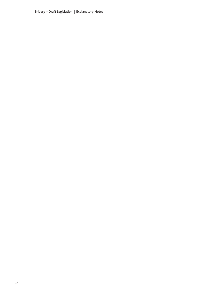Bribery – Draft Legislation | Explanatory Notes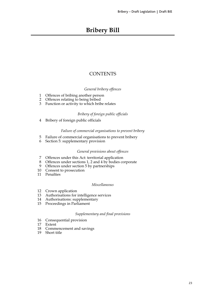## **Bribery Bill**

## **CONTENTS**

## General bribery offences

- 1 Offences of bribing another person
- Offences relating to being bribed  $\overline{2}$
- 3 Function or activity to which bribe relates

## Bribery of foreign public officials

Bribery of foreign public officials  $\overline{4}$ 

### Failure of commercial organisations to prevent bribery

- 5 Failure of commercial organisations to prevent bribery
- Section 5: supplementary provision 6

### General provisions about offences

- 7 Offences under this Act: territorial application
- Offences under sections 1, 2 and 4 by bodies corporate 8
- 9 Offences under section 5 by partnerships
- 10 Consent to prosecution
- 11 Penalties

### Miscellaneous

- 12 Crown application
- 13 Authorisations for intelligence services
- Authorisations: supplementary 14
- 15 Proceedings in Parliament

## Supplementary and final provisions

- 16 Consequential provision
- 17 Extent
- 18 Commencement and savings
- 19 Short title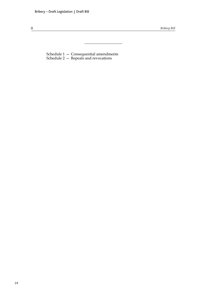Schedule  $1 -$  Consequential amendments<br>Schedule  $2 -$  Repeals and revocations

 $\mathcal{L}$ 

 $\overline{\phantom{0}}$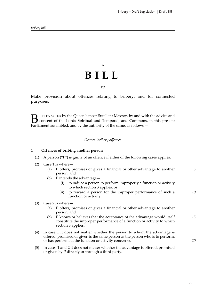$\mathbf{1}$ 

## A **BILL**

**TO** 

Make provision about offences relating to bribery; and for connected purposes.

E IT ENACTED by the Queen's most Excellent Majesty, by and with the advice and **Consent of the Lords Spiritual and Temporal, and Commons, in this present** Parliament assembled, and by the authority of the same, as follows: -

#### General bribery offences

#### $\mathbf{1}$ Offences of bribing another person

- (1) A person ("P") is guilty of an offence if either of the following cases applies.
- (2) Case 1 is where  $-$ 
	- (a) P offers, promises or gives a financial or other advantage to another person, and
	- (b) P intends the advantage  $$ 
		- to induce a person to perform improperly a function or activity  $(i)$ to which section 3 applies, or
		- to reward a person for the improper performance of such a  $10$  $(ii)$ function or activity.
- $(3)$  Case 2 is where
	- (a) P offers, promises or gives a financial or other advantage to another person, and
	- (b) P knows or believes that the acceptance of the advantage would itself 15 constitute the improper performance of a function or activity to which section 3 applies.
- In case 1 it does not matter whether the person to whom the advantage is  $(4)$ offered, promised or given is the same person as the person who is to perform, or has performed, the function or activity concerned.
- In cases 1 and 2 it does not matter whether the advantage is offered, promised  $(5)$ or given by P directly or through a third party.

20

5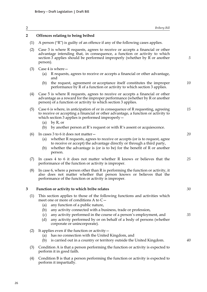| $\overline{c}$          | <b>Bribery Bill</b>                                                                                                                                                                                                                                                                                                           |    |
|-------------------------|-------------------------------------------------------------------------------------------------------------------------------------------------------------------------------------------------------------------------------------------------------------------------------------------------------------------------------|----|
| $\overline{\mathbf{2}}$ | Offences relating to being bribed                                                                                                                                                                                                                                                                                             |    |
| (1)                     | A person ("R") is guilty of an offence if any of the following cases applies.                                                                                                                                                                                                                                                 |    |
| (2)                     | Case 3 is where R requests, agrees to receive or accepts a financial or other<br>advantage intending that, in consequence, a function or activity to which<br>section 3 applies should be performed improperly (whether by R or another<br>person).                                                                           | 5  |
| (3)                     | Case 4 is where $-$<br>R requests, agrees to receive or accepts a financial or other advantage,<br>(a)<br>and                                                                                                                                                                                                                 |    |
|                         | the request, agreement or acceptance itself constitutes the improper<br>(b)<br>performance by R of a function or activity to which section 3 applies.                                                                                                                                                                         | 10 |
| (4)                     | Case 5 is where R requests, agrees to receive or accepts a financial or other<br>advantage as a reward for the improper performance (whether by R or another<br>person) of a function or activity to which section 3 applies.                                                                                                 |    |
| (5)                     | Case 6 is where, in anticipation of or in consequence of R requesting, agreeing<br>to receive or accepting a financial or other advantage, a function or activity to<br>which section 3 applies is performed improperly $-$<br>by R, or<br>(a)<br>by another person at R's request or with R's assent or acquiescence.<br>(b) | 15 |
| (6)                     | In cases 3 to 6 it does not matter -                                                                                                                                                                                                                                                                                          | 20 |
|                         | whether R requests, agrees to receive or accepts (or is to request, agree<br>(a)<br>to receive or accept) the advantage directly or through a third party,<br>whether the advantage is (or is to be) for the benefit of $R$ or another<br>(b)<br>person.                                                                      |    |
| (7)                     | In cases 4 to 6 it does not matter whether R knows or believes that the<br>performance of the function or activity is improper.                                                                                                                                                                                               | 25 |
| (8)                     | In case 6, where a person other than R is performing the function or activity, it<br>also does not matter whether that person knows or believes that the<br>performance of the function or activity is improper.                                                                                                              |    |
| 3                       | Function or activity to which bribe relates                                                                                                                                                                                                                                                                                   | 30 |
| (1)                     | This section applies to those of the following functions and activities which<br>meet one or more of conditions A to C-<br>any function of a public nature,<br>(a)                                                                                                                                                            |    |
|                         | any activity connected with a business, trade or profession,<br>(b)<br>any activity performed in the course of a person's employment, and<br>(c)<br>any activity performed by or on behalf of a body of persons (whether<br>(d)<br>corporate or unincorporate).                                                               | 35 |
| (2)                     | It applies even if the function or activity -<br>has no connection with the United Kingdom, and<br>(a)<br>is carried out in a country or territory outside the United Kingdom.<br>(b)                                                                                                                                         | 40 |
| (3)                     | Condition A is that a person performing the function or activity is expected to<br>perform it in good faith.                                                                                                                                                                                                                  |    |
| (4)                     | Condition B is that a person performing the function or activity is expected to<br>perform it impartially.                                                                                                                                                                                                                    |    |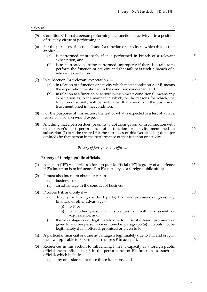$\mathfrak{Z}$ 

5

 $10$ 

15

20

| <b>Bribery Bill</b> |  |
|---------------------|--|
|---------------------|--|

(5) Condition C is that a person performing the function or activity is in a position of trust by virtue of performing it.

- $(6)$ For the purposes of sections 1 and 2 a function or activity to which this section  $applies -$ 
	- (a) is performed improperly if it is performed in breach of a relevant expectation, and
	- is to be treated as being performed improperly if there is a failure to (b) perform the function or activity and that failure is itself a breach of a relevant expectation.
- (7) In subsection (6) "relevant expectation"  $$ 
	- in relation to a function or activity which meets condition A or B, means  $(a)$ the expectation mentioned in the condition concerned, and
	- in relation to a function or activity which meets condition C, means any (b) expectation as to the manner in which, or the reasons for which, the function or activity will be performed that arises from the position of trust mentioned in that condition.
- (8) For the purposes of this section, the test of what is expected is a test of what a reasonable person would expect.
- (9) Anything that a person does (or omits to do) arising from or in connection with that person's past performance of a function or activity mentioned in subsection (1) is to be treated for the purposes of this Act as being done (or omitted) by that person in the performance of that function or activity.

#### Bribery of foreign public officials

#### $\overline{\mathbf{4}}$ Bribery of foreign public officials

- (1) A person ("P") who bribes a foreign public official ("F") is guilty of an offence 25 if  $\bar{P}$ 's intention is to influence  $\bar{F}$  in  $\bar{F}$ 's capacity as a foreign public official.
- $(2)$  P must also intend to obtain or retain
	- $(a)$ business, or
	- (b) an advantage in the conduct of business.
- $(3)$  P bribes F if, and only if  $$ 
	- directly or through a third party, P offers, promises or gives any  $(a)$ financial or other advantage -
		- $(i)$ to F, or
		- to another person at F's request or with F's assent or  $(ii)$ acquiescence, and
	- (b) the advantage is not legitimately due to  $F$ , or (if offered, promised or given to another person as mentioned in paragraph (a)) it would not be legitimately due if offered, promised or given to F.
- A particular financial or other advantage is legitimately due to F if, and only if,  $(4)$ the law applicable to F permits or requires F to accept it.
- References in this section to influencing F in F's capacity as a foreign public  $(5)$ official mean influencing  $F$  in the performance of  $F$ 's functions as such an official, which includes-
	- (a) any omission to exercise those functions, and

## 30

35

40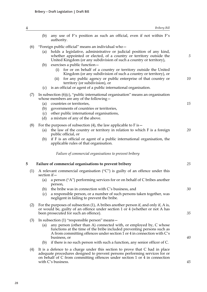any use of F's position as such an official, even if not within F's (b) authority. "Foreign public official" means an individual who- $(6)$ holds a legislative, administrative or judicial position of any kind,  $(a)$ whether appointed or elected, of a country or territory outside the  $\overline{5}$ United Kingdom (or any subdivision of such a country or territory), exercises a public function –  $(b)$ for or on behalf of a country or territory outside the United  $(i)$ Kingdom (or any subdivision of such a country or territory), or for any public agency or public enterprise of that country or  $10$  $(ii)$ territory (or subdivision), or is an official or agent of a public international organisation.  $(c)$ In subsection  $(6)(c)$ , "public international organisation" means an organisation  $(7)$ whose members are any of the following - $(a)$ countries or territories, 15 governments of countries or territories, (b) other public international organisations,  $(c)$ a mixture of any of the above.  $(d)$ (8) For the purposes of subsection (4), the law applicable to F is  $$ the law of the country or territory in relation to which F is a foreign 20  $(a)$ public official, or if F is an official or agent of a public international organisation, the (b) applicable rules of that organisation. Failure of commercial organisations to prevent bribery 25 5 Failure of commercial organisations to prevent bribery (1) A relevant commercial organisation ("C") is guilty of an offence under this section if -(a) a person ("A") performing services for or on behalf of C bribes another person, the bribe was in connection with C's business, and 30  $(b)$ a responsible person, or a number of such persons taken together, was  $(c)$ negligent in failing to prevent the bribe.  $(2)$ For the purposes of subsection (1), A bribes another person if, and only if, A is, or would be, guilty of an offence under section 1 or 4 (whether or not A has been prosecuted for such an offence). 35 In subsection (1) "responsible person" means - $(3)$ any person (other than A) connected with, or employed by, C whose  $(a)$ functions at the time of the bribe included preventing persons such as A from committing offences under section 1 or 4 in connection with C's  $40$ business, or (b) if there is no such person with such a function, any senior officer of C.  $(4)$ It is a defence to a charge under this section to prove that C had in place adequate procedures designed to prevent persons performing services for or on behalf of C from committing offences under section 1 or 4 in connection 45 with C's business.

Bribery Bill

 $\overline{4}$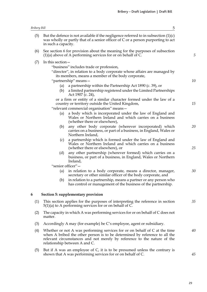| <b>Bribery Bill</b> |                     | 5                                                                                                                                                                                                                                                                      |    |
|---------------------|---------------------|------------------------------------------------------------------------------------------------------------------------------------------------------------------------------------------------------------------------------------------------------------------------|----|
| (5)                 | in such a capacity. | But the defence is not available if the negligence referred to in subsection $(1)(c)$<br>was wholly or partly that of a senior officer of C or a person purporting to act                                                                                              |    |
| (6)                 |                     | See section 6 for provision about the meaning for the purposes of subsection<br>$(1)(a)$ above of A performing services for or on behalf of C.                                                                                                                         | 5  |
| (7)                 | In this section -   |                                                                                                                                                                                                                                                                        |    |
|                     |                     | "business" includes trade or profession,                                                                                                                                                                                                                               |    |
|                     |                     | "director", in relation to a body corporate whose affairs are managed by<br>its members, means a member of the body corporate,                                                                                                                                         |    |
|                     |                     | "partnership" means-                                                                                                                                                                                                                                                   | 10 |
|                     | (a)<br>(b)          | a partnership within the Partnership Act 1890 (c. 39), or<br>a limited partnership registered under the Limited Partnerships<br>Act 1907 (c. 24),                                                                                                                      |    |
|                     |                     | or a firm or entity of a similar character formed under the law of a<br>country or territory outside the United Kingdom,                                                                                                                                               | 15 |
|                     |                     | "relevant commercial organisation" means-                                                                                                                                                                                                                              |    |
|                     | (a)                 | a body which is incorporated under the law of England and<br>Wales or Northern Ireland and which carries on a business<br>(whether there or elsewhere),                                                                                                                |    |
|                     | (b)                 | any other body corporate (wherever incorporated) which<br>carries on a business, or part of a business, in England, Wales or<br>Northern Ireland,                                                                                                                      | 20 |
|                     | (c)                 | a partnership which is formed under the law of England and<br>Wales or Northern Ireland and which carries on a business<br>(whether there or elsewhere), or                                                                                                            | 25 |
|                     | (d)                 | any other partnership (wherever formed) which carries on a<br>business, or part of a business, in England, Wales or Northern<br>Ireland,                                                                                                                               |    |
|                     |                     | "senior officer"-                                                                                                                                                                                                                                                      |    |
|                     | (a)                 | in relation to a body corporate, means a director, manager,<br>secretary or other similar officer of the body corporate, and                                                                                                                                           | 30 |
|                     | (b)                 | in relation to a partnership, means a partner or any person who<br>has control or management of the business of the partnership.                                                                                                                                       |    |
| 6                   |                     | Section 5: supplementary provision                                                                                                                                                                                                                                     |    |
| (1)                 |                     | This section applies for the purposes of interpreting the reference in section<br>$5(1)(a)$ to A performing services for or on behalf of C.                                                                                                                            | 35 |
| (2)                 | matter.             | The capacity in which A was performing services for or on behalf of C does not                                                                                                                                                                                         |    |
| (3)                 |                     | Accordingly A may (for example) be C's employee, agent or subsidiary.                                                                                                                                                                                                  |    |
| (4)                 |                     | Whether or not A was performing services for or on behalf of $C$ at the time<br>when A bribed the other person is to be determined by reference to all the<br>relevant circumstances and not merely by reference to the nature of the<br>relationship between A and C. | 40 |
| (5)                 |                     | But if A was an employee of $C$ , it is to be presumed unless the contrary is<br>shown that A was performing services for or on behalf of C.                                                                                                                           | 45 |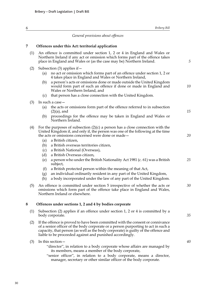6

 $\overline{7}$ 

|     | General provisions about offences                                                                                                                                                                                                                                                                                                                                                                                                        |    |
|-----|------------------------------------------------------------------------------------------------------------------------------------------------------------------------------------------------------------------------------------------------------------------------------------------------------------------------------------------------------------------------------------------------------------------------------------------|----|
|     | Offences under this Act: territorial application                                                                                                                                                                                                                                                                                                                                                                                         |    |
| (1) | An offence is committed under section 1, 2 or 4 in England and Wales or<br>Northern Ireland if any act or omission which forms part of the offence takes<br>place in England and Wales or (as the case may be) Northern Ireland.                                                                                                                                                                                                         | 5  |
| (2) | Subsection $(3)$ applies if $-$<br>no act or omission which forms part of an offence under section 1, 2 or<br>(a)<br>4 takes place in England and Wales or Northern Ireland,<br>a person's acts or omissions done or made outside the United Kingdom<br>(b)<br>would form part of such an offence if done or made in England and<br>Wales or Northern Ireland, and<br>that person has a close connection with the United Kingdom.<br>(c) | 10 |
|     | In such a case -                                                                                                                                                                                                                                                                                                                                                                                                                         |    |
| (3) | the acts or omissions form part of the offence referred to in subsection<br>(a)<br>$(2)$ (a), and<br>proceedings for the offence may be taken in England and Wales or<br>(b)                                                                                                                                                                                                                                                             | 15 |
|     | Northern Ireland.                                                                                                                                                                                                                                                                                                                                                                                                                        |    |
| (4) | For the purposes of subsection $(2)(c)$ a person has a close connection with the<br>United Kingdom if, and only if, the person was one of the following at the time<br>the acts or omissions concerned were done or made-<br>a British citizen,<br>(a)<br>a British overseas territories citizen,<br>(b)                                                                                                                                 | 20 |
|     | a British National (Overseas),<br>(c)<br>(d)<br>a British Overseas citizen,                                                                                                                                                                                                                                                                                                                                                              |    |
|     | a person who under the British Nationality Act 1981 (c. 61) was a British<br>(e)<br>subject,                                                                                                                                                                                                                                                                                                                                             | 25 |
|     | a British protected person within the meaning of that Act,<br>(f)<br>an individual ordinarily resident in any part of the United Kingdom,<br>(g)<br>a body incorporated under the law of any part of the United Kingdom.<br>(h)                                                                                                                                                                                                          |    |
| (5) | An offence is committed under section 5 irrespective of whether the acts or<br>omissions which form part of the offence take place in England and Wales,<br>Northern Ireland or elsewhere.                                                                                                                                                                                                                                               | 30 |
|     | Offences under sections 1, 2 and 4 by bodies corporate                                                                                                                                                                                                                                                                                                                                                                                   |    |
| (1) | Subsection (2) applies if an offence under section 1, 2 or 4 is committed by a<br>body corporate.                                                                                                                                                                                                                                                                                                                                        | 35 |
| (2) | If the offence is proved to have been committed with the consent or connivance<br>of a senior officer of the body corporate or a person purporting to act in such a<br>capacity, that person (as well as the body corporate) is guilty of the offence and<br>liable to be proceeded against and punished accordingly.                                                                                                                    |    |

**Bribery Bill** 

40

In this section-"director", in relation to a body corporate whose affairs are managed by its members, means a member of the body corporate,

"senior officer", in relation to a body corporate, means a director, manager, secretary or other similar officer of the body corporate.

 $\bf8$ 

 $(3)$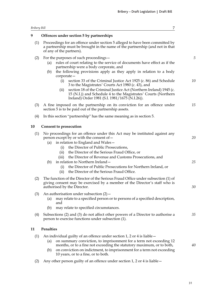| <b>Bribery Bill</b> | 7                                                                                                                                                                                                                                                                                                                                                   |    |
|---------------------|-----------------------------------------------------------------------------------------------------------------------------------------------------------------------------------------------------------------------------------------------------------------------------------------------------------------------------------------------------|----|
| 9                   | Offences under section 5 by partnerships                                                                                                                                                                                                                                                                                                            |    |
| (1)                 | Proceedings for an offence under section 5 alleged to have been committed by<br>a partnership must be brought in the name of the partnership (and not in that<br>of any of the partners).                                                                                                                                                           |    |
| (2)                 | For the purposes of such proceedings -<br>rules of court relating to the service of documents have effect as if the<br>(a)<br>partnership were a body corporate, and<br>the following provisions apply as they apply in relation to a body<br>(b)<br>corporate-                                                                                     | 5  |
|                     | section 33 of the Criminal Justice Act 1925 (c. 86) and Schedule<br>(i)<br>3 to the Magistrates' Courts Act 1980 (c. 43), and<br>section 18 of the Criminal Justice Act (Northern Ireland) 1945 (c.<br>(i)<br>15 (N.I.)) and Schedule 4 to the Magistrates' Courts (Northern<br>Ireland) Order 1981 (S.I. 1981/1675 (N.I.26)).                      | 10 |
| (3)                 | A fine imposed on the partnership on its conviction for an offence under<br>section 5 is to be paid out of the partnership assets.                                                                                                                                                                                                                  | 15 |
| (4)                 | In this section "partnership" has the same meaning as in section 5.                                                                                                                                                                                                                                                                                 |    |
| 10                  | <b>Consent to prosecution</b>                                                                                                                                                                                                                                                                                                                       |    |
| (1)                 | No proceedings for an offence under this Act may be instituted against any<br>person except by or with the consent of -<br>in relation to England and Wales-<br>(a)<br>the Director of Public Prosecutions,<br>(i)<br>the Director of the Serious Fraud Office, or<br>(ii)                                                                          | 20 |
|                     | the Director of Revenue and Customs Prosecutions, and<br>(iii)<br>in relation to Northern Ireland -<br>(b)<br>the Director of Public Prosecutions for Northern Ireland, or<br>(i)<br>the Director of the Serious Fraud Office.<br>(ii)                                                                                                              | 25 |
| (2)                 | The function of the Director of the Serious Fraud Office under subsection (1) of<br>giving consent may be exercised by a member of the Director's staff who is<br>authorised by the Director.                                                                                                                                                       | 30 |
| (3)                 | An authorisation under subsection $(2)$ –<br>may relate to a specified person or to persons of a specified description,<br>(a)<br>and                                                                                                                                                                                                               |    |
|                     | may relate to specified circumstances.<br>(b)                                                                                                                                                                                                                                                                                                       |    |
| (4)                 | Subsections (2) and (3) do not affect other powers of a Director to authorise a<br>person to exercise functions under subsection (1).                                                                                                                                                                                                               | 35 |
| 11                  | Penalties                                                                                                                                                                                                                                                                                                                                           |    |
| (1)                 | An individual guilty of an offence under section 1, 2 or 4 is liable -<br>on summary conviction, to imprisonment for a term not exceeding 12<br>(a)<br>months, or to a fine not exceeding the statutory maximum, or to both,<br>on conviction on indictment, to imprisonment for a term not exceeding<br>(b)<br>10 years, or to a fine, or to both. | 40 |

(2) Any other person guilty of an offence under section 1, 2 or 4 is liable  $-$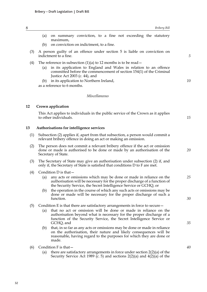5

10

15

20

25

30

35

40

- on summary conviction, to a fine not exceeding the statutory  $(a)$ maximum,
- on conviction on indictment, to a fine. (b)
- (3) A person guilty of an offence under section 5 is liable on conviction on  $indictment$  to a fine
- The reference in subsection  $(1)(a)$  to 12 months is to be read  $(4)$ 
	- in its application to England and Wales in relation to an offence  $(a)$ committed before the commencement of section 154(1) of the Criminal Justice Act  $2003$  (c. 44), and
	- (b) in its application to Northern Ireland,

as a reference to 6 months.

#### Miscellaneous

#### Crown application  $12$

This Act applies to individuals in the public service of the Crown as it applies to other individuals.

#### 13 Authorisations for intelligence services

- (1) Subsection (2) applies if, apart from that subsection, a person would commit a relevant bribery offence in doing an act or making an omission.
- The person does not commit a relevant bribery offence if the act or omission  $(2)$ done or made is authorised to be done or made by an authorisation of the Secretary of State.
- The Secretary of State may give an authorisation under subsection (2) if, and  $(3)$ only if, the Secretary of State is satisfied that conditions D to F are met.
- Condition D is that- $(4)$ 
	- any acts or omissions which may be done or made in reliance on the  $(a)$ authorisation will be necessary for the proper discharge of a function of the Security Service, the Secret Intelligence Service or GCHQ, or
	- the operation in the course of which any such acts or omissions may be (b) done or made will be necessary for the proper discharge of such a function.
- (5) Condition E is that there are satisfactory arrangements in force to secure
	- that no act or omission will be done or made in reliance on the  $(a)$ authorisation beyond what is necessary for the proper discharge of a function of the Security Service, the Secret Intelligence Service or GCHO, and
	- (b) that, in so far as any acts or omissions may be done or made in reliance on the authorisation, their nature and likely consequences will be reasonable, having regard to the purposes for which they are done or made.
- Condition  $F$  is that  $(6)$ 
	- $(a)$ there are satisfactory arrangements in force under section  $2(2)(a)$  of the Security Service Act 1989 (c. 5) and sections  $2(2)(a)$  and  $4(2)(a)$  of the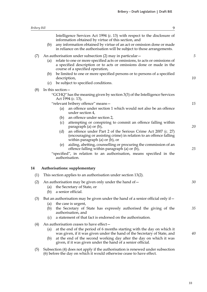| <b>Bribery Bill</b> |                                                                                                                                                                                                                                                                                            | 9  |
|---------------------|--------------------------------------------------------------------------------------------------------------------------------------------------------------------------------------------------------------------------------------------------------------------------------------------|----|
|                     | Intelligence Services Act 1994 (c. 13) with respect to the disclosure of<br>information obtained by virtue of this section, and<br>any information obtained by virtue of an act or omission done or made<br>(b)<br>in reliance on the authorisation will be subject to those arrangements. |    |
| (7)                 | An authorisation under subsection (2) may in particular –<br>relate to one or more specified acts or omissions, to acts or omissions of<br>(a)<br>a specified description or to acts or omissions done or made in the<br>course of a specified operation,                                  | 5  |
|                     | be limited to one or more specified persons or to persons of a specified<br>(b)<br>description,                                                                                                                                                                                            | 10 |
|                     | be subject to specified conditions.<br>(c)                                                                                                                                                                                                                                                 |    |
| (8)                 | In this section -<br>"GCHQ" has the meaning given by section 3(3) of the Intelligence Services<br>Act 1994 (c. 13),                                                                                                                                                                        |    |
|                     | "relevant bribery offence" means-<br>an offence under section 1 which would not also be an offence<br>(a)<br>under section 4,                                                                                                                                                              | 15 |
|                     | an offence under section 2,<br>(b)                                                                                                                                                                                                                                                         |    |
|                     | attempting or conspiring to commit an offence falling within<br>(c)<br>paragraph $(a)$ or $(b)$ ,                                                                                                                                                                                          | 20 |
|                     | an offence under Part 2 of the Serious Crime Act 2007 (c. 27)<br>(d)<br>(encouraging or assisting crime) in relation to an offence falling<br>within paragraph (a) or $(b)$ , or                                                                                                           |    |
|                     | aiding, abetting, counselling or procuring the commission of an<br>(e)<br>offence falling within paragraph (a) or (b),                                                                                                                                                                     | 25 |
|                     | "specified", in relation to an authorisation, means specified in the<br>authorisation.                                                                                                                                                                                                     |    |
| 14                  | Authorisations: supplementary                                                                                                                                                                                                                                                              |    |
| (1)                 | This section applies to an authorisation under section 13(2).                                                                                                                                                                                                                              |    |
| (2)                 | An authorisation may be given only under the hand of -<br>the Secretary of State, or<br>(a)<br>a senior official.<br>(b)                                                                                                                                                                   | 30 |
| (3)                 | But an authorisation may be given under the hand of a senior official only if –<br>the case is urgent,<br>(a)<br>the Secretary of State has expressly authorised the giving of the<br>(b)<br>authorisation, and                                                                            | 35 |
|                     | a statement of that fact is endorsed on the authorisation.<br>(c)                                                                                                                                                                                                                          |    |
| (4)                 | An authorisation ceases to have effect-<br>at the end of the period of 6 months starting with the day on which it<br>(a)<br>was given, if it was given under the hand of the Secretary of State, and<br>at the end of the second working day after the day on which it was<br>(b)          | 40 |
|                     | given, if it was given under the hand of a senior official.                                                                                                                                                                                                                                |    |

(5) Subsection (4) does not apply if the authorisation is renewed under subsection (6) before the day on which it would otherwise cease to have effect.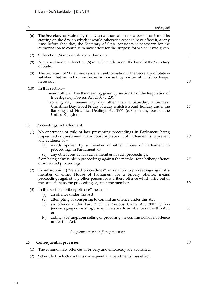34

16

#### The Secretary of State may renew an authorisation for a period of 6 months  $(6)$ starting on the day on which it would otherwise cease to have effect if, at any time before that day, the Secretary of State considers it necessary for the authorisation to continue to have effect for the purpose for which it was given.

- $(7)$ Subsection (6) may apply more than once.
- $(8)$ A renewal under subsection (6) must be made under the hand of the Secretary of State.
- The Secretary of State must cancel an authorisation if the Secretary of State is  $(9)$ satisfied that an act or omission authorised by virtue of it is no longer necessary.
- $(10)$ In this section —

"senior official" has the meaning given by section 81 of the Regulation of Investigatory Powers Act 2000 (c. 23),

"working day" means any day other than a Saturday, a Sunday, Christmas Day, Good Friday or a day which is a bank holiday under the Banking and Financial Dealings Act 1971 (c. 80) in any part of the United Kingdom.

#### 15 **Proceedings in Parliament**

- $(1)$ No enactment or rule of law preventing proceedings in Parliament being impeached or questioned in any court or place out of Parliament is to prevent any evidence of  $-$ 
	- (a) words spoken by a member of either House of Parliament in proceedings in Parliament, or
	- any other conduct of such a member in such proceedings, (b)

from being admissible in proceedings against the member for a bribery offence or in related proceedings.

In subsection (1) "related proceedings", in relation to proceedings against a  $(2)$ member of either House of Parliament for a bribery offence, means proceedings against any other person for a bribery offence which arise out of the same facts as the proceedings against the member.

#### (3) In this section "bribery offence" means -

 $(a)$ an offence under this Act,

**Consequential provision** 

- attempting or conspiring to commit an offence under this Act, (b)
- an offence under Part 2 of the Serious Crime Act 2007 (c. 27)  $(c)$ (encouraging or assisting crime) in relation to an offence under this Act, <sub>or</sub>
- $(d)$ aiding, abetting, counselling or procuring the commission of an offence under this Act.

#### Supplementary and final provisions

## (1) The common law offences of bribery and embracery are abolished.

(2) Schedule 1 (which contains consequential amendments) has effect.

 $\overline{5}$ 

10

15

Bribery Bill

20

25

30

40

35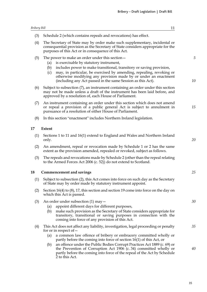| <b>Bribery Bill</b> | 11                                                                                                                                                                                                                                                                                                                                                                                                      |         |
|---------------------|---------------------------------------------------------------------------------------------------------------------------------------------------------------------------------------------------------------------------------------------------------------------------------------------------------------------------------------------------------------------------------------------------------|---------|
| (3)                 | Schedule 2 (which contains repeals and revocations) has effect.                                                                                                                                                                                                                                                                                                                                         |         |
| (4)                 | The Secretary of State may by order make such supplementary, incidental or<br>consequential provision as the Secretary of State considers appropriate for the<br>purposes of this Act or in consequence of this Act.                                                                                                                                                                                    |         |
| (5)                 | The power to make an order under this section –<br>is exercisable by statutory instrument,<br>(a)<br>includes power to make transitional, transitory or saving provision,<br>(b)<br>may, in particular, be exercised by amending, repealing, revoking or<br>(c)<br>otherwise modifying any provision made by or under an enactment<br>(including any Act passed in the same Session as this Act).       | 5<br>10 |
| (6)                 | Subject to subsection (7), an instrument containing an order under this section<br>may not be made unless a draft of the instrument has been laid before, and<br>approved by a resolution of, each House of Parliament.                                                                                                                                                                                 |         |
| (7)                 | An instrument containing an order under this section which does not amend<br>or repeal a provision of a public general Act is subject to annulment in<br>pursuance of a resolution of either House of Parliament.                                                                                                                                                                                       | 15      |
| (8)                 | In this section "enactment" includes Northern Ireland legislation.                                                                                                                                                                                                                                                                                                                                      |         |
| 17                  | <b>Extent</b>                                                                                                                                                                                                                                                                                                                                                                                           |         |
| (1)                 | Sections 1 to 11 and 16(1) extend to England and Wales and Northern Ireland<br>only.                                                                                                                                                                                                                                                                                                                    | 20      |
| (2)                 | An amendment, repeal or revocation made by Schedule 1 or 2 has the same<br>extent as the provision amended, repealed or revoked, subject as follows.                                                                                                                                                                                                                                                    |         |
| (3)                 | The repeals and revocations made by Schedule 2 (other than the repeal relating<br>to the Armed Forces Act 2006 (c. 52)) do not extend to Scotland.                                                                                                                                                                                                                                                      |         |
| 18                  | <b>Commencement and savings</b>                                                                                                                                                                                                                                                                                                                                                                         | 25      |
| (1)                 | Subject to subsection (2), this Act comes into force on such day as the Secretary<br>of State may by order made by statutory instrument appoint.                                                                                                                                                                                                                                                        |         |
| (2)                 | Section $16(4)$ to $(8)$ , 17, this section and section 19 come into force on the day on<br>which this Act is passed.                                                                                                                                                                                                                                                                                   |         |
| (3)                 | An order under subsection $(1)$ may $-$<br>appoint different days for different purposes,<br>(a)<br>make such provision as the Secretary of State considers appropriate for<br>(b)<br>transitory, transitional or saving purposes in connection with the<br>coming into force of any provision of this Act.                                                                                             | 30      |
| (4)                 | This Act does not affect any liability, investigation, legal proceeding or penalty<br>for or in respect of $-$                                                                                                                                                                                                                                                                                          | 35      |
|                     | a common law offence of bribery or embracery committed wholly or<br>(a)<br>partly before the coming into force of section $16(1)$ of this Act, or<br>an offence under the Public Bodies Corrupt Practices Act 1889 (c. 69) or<br>(b)<br>the Prevention of Corruption Act 1906 (c. 34) committed wholly or<br>partly before the coming into force of the repeal of the Act by Schedule<br>2 to this Act. | 40      |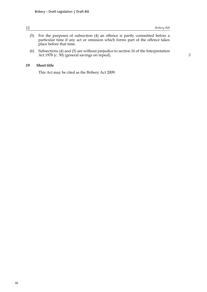#### **Bribery Bill**

 $\overline{5}$ 

- (5) For the purposes of subsection (4) an offence is partly committed before a particular time if any act or omission which forms part of the offence takes place before that time.
- (6) Subsections (4) and (5) are without prejudice to section 16 of the Interpretation Act 1978 (c. 30) (general savings on repeal).

#### 19 Short title

This Act may be cited as the Bribery Act 2009.

 $12\,$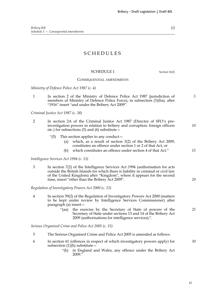13

## **SCHEDULES**

### **SCHEDULE 1**

Section 16(2)

5

 $10$ 

15

 $20$ 

#### **CONSEQUENTIAL AMENDMENTS**

Ministry of Defence Police Act 1987 (c. 4)

 $\mathbf{1}$ In section 2 of the Ministry of Defence Police Act 1987 (jurisdiction of members of Ministry of Defence Police Force), in subsection (3)(ba), after "1916" insert "and under the Bribery Act 2009".

Criminal Justice Act 1987 (c. 38)

- $\overline{2}$ In section 2A of the Criminal Justice Act 1987 (Director of SFO's preinvestigation powers in relation to bribery and corruption: foreign officers etc.) for subsections  $(5)$  and  $(6)$  substitute  $-$ 
	- This section applies to any conduct- $\degree$ (5)
		- (a) which, as a result of section  $3(2)$  of the Bribery Act 2009, constitutes an offence under section 1 or 2 of that Act, or
		- which constitutes an offence under section 4 of that Act." (b)

Intelligence Services Act 1994 (c. 13)

 $\overline{3}$ In section 7(2) of the Intelligence Services Act 1994 (authorisation for acts outside the British Islands for which there is liability in criminal or civil law of the United Kingdom) after "Kingdom", where it appears for the second time, insert "other than the Bribery Act 2009".

Regulation of Investigatory Powers Act 2000 (c. 23)

- $\overline{4}$ In section 59(2) of the Regulation of Investigatory Powers Act 2000 (matters to be kept under review by Intelligence Services Commissioner) after paragraph (a) insert
	- the exercise by the Secretary of State of powers of the 25  $"$ (aa) Secretary of State under sections 13 and 14 of the Bribery Act 2009 (authorisations for intelligence services);".

Serious Organised Crime and Police Act 2005 (c. 15)

- 5 The Serious Organised Crime and Police Act 2005 is amended as follows.
- 6 In section 61 (offences in respect of which investigatory powers apply) for 30 subsection  $(1)(h)$  substitute
	- in England and Wales, any offence under the Bribery Act " $(h)$ 2009.'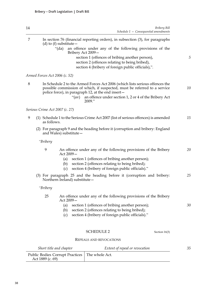|   |                                | Bribery Bill<br>Schedule $1$ – Consequential amendments                                                                                                   |    |
|---|--------------------------------|-----------------------------------------------------------------------------------------------------------------------------------------------------------|----|
| 7 |                                | In section 76 (financial reporting orders), in subsection (3), for paragraphs<br>(d) to (f) substitute $-$                                                |    |
|   |                                | " $(da)$<br>an offence under any of the following provisions of the<br>Bribery Act 2009-                                                                  |    |
|   |                                | section 1 (offences of bribing another person),                                                                                                           | 5  |
|   |                                | section 2 (offences relating to being bribed),                                                                                                            |    |
|   |                                | section 4 (bribery of foreign public officials),".                                                                                                        |    |
|   | Armed Forces Act 2006 (c. 52)  |                                                                                                                                                           |    |
| 8 |                                | In Schedule 2 to the Armed Forces Act 2006 (which lists serious offences the<br>possible commission of which, if suspected, must be referred to a service | 10 |
|   |                                | police force), in paragraph 12, at the end insert-<br>an offence under section 1, 2 or 4 of the Bribery Act<br>" $(av)$<br>2009."                         |    |
|   | Serious Crime Act 2007 (c. 27) |                                                                                                                                                           |    |
| 9 | as follows.                    | (1) Schedule 1 to the Serious Crime Act 2007 (list of serious offences) is amended                                                                        | 15 |
|   |                                | (2) For paragraph 9 and the heading before it (corruption and bribery: England<br>and Wales) substitute $-$                                               |    |
|   | "Bribery                       |                                                                                                                                                           |    |
|   | 9                              | An offence under any of the following provisions of the Bribery<br>Act 2009-                                                                              | 20 |
|   |                                | section 1 (offences of bribing another person);<br>(a)                                                                                                    |    |
|   |                                | section 2 (offences relating to being bribed);<br>(b)                                                                                                     |    |
|   |                                | section 4 (bribery of foreign public officials)."<br>(c)                                                                                                  |    |
|   |                                | (3) For paragraph 25 and the heading before it (corruption and bribery:<br>Northern Ireland) substitute-                                                  | 25 |
|   | "Bribery                       |                                                                                                                                                           |    |
|   | 25                             | An offence under any of the following provisions of the Bribery<br>Act 2009-                                                                              |    |
|   |                                | section 1 (offences of bribing another person);<br>(a)                                                                                                    | 30 |
|   |                                | section 2 (offences relating to being bribed);<br>(b)                                                                                                     |    |
|   |                                | section 4 (bribery of foreign public officials)."<br>(c)                                                                                                  |    |
|   |                                |                                                                                                                                                           |    |
|   |                                | <b>SCHEDULE 2</b><br>Section 16(3)                                                                                                                        |    |
|   |                                | REPEALS AND REVOCATIONS                                                                                                                                   |    |

| Short title and chapter                                              | Extent of repeal or revocation |  |
|----------------------------------------------------------------------|--------------------------------|--|
| Public Bodies Corrupt Practices   The whole Act.<br>Act 1889 (c. 69) |                                |  |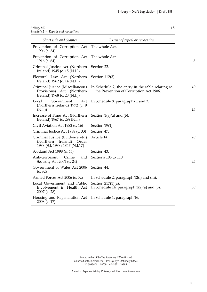15

| Bribery Bill                         |  |
|--------------------------------------|--|
| Schedule 2 – Repeals and revocations |  |

| Short title and chapter                                                                             | Extent of repeal or revocation                                                              |    |
|-----------------------------------------------------------------------------------------------------|---------------------------------------------------------------------------------------------|----|
| Prevention of Corruption Act<br>1906 (c. 34)                                                        | The whole Act.                                                                              |    |
| Prevention of Corruption Act<br>1916 (c. 64)                                                        | The whole Act.                                                                              | 5  |
| Criminal Justice Act (Northern<br>Ireland) 1945 (c. 15 (N.I.))                                      | Section 22.                                                                                 |    |
| Electoral Law Act (Northern<br>Ireland) $1962$ (c. 14 (N.I.))                                       | Section 112(3).                                                                             |    |
| Criminal Justice (Miscellaneous<br>Provisions) Act (Northern<br>Ireland) 1968 (c. 28 (N.I.))        | In Schedule 2, the entry in the table relating to<br>the Prevention of Corruption Act 1906. | 10 |
| Local<br>Government<br>Act<br>(Northern Ireland) 1972 (c. 9<br>(N.I.)                               | In Schedule 8, paragraphs 1 and 3.                                                          | 15 |
| Increase of Fines Act (Northern<br>Ireland) 1967 (c. 29) (N.I.)                                     | Section $1(8)(a)$ and (b).                                                                  |    |
| Civil Aviation Act 1982 (c. 16)                                                                     | Section 19(1).                                                                              |    |
| Criminal Justice Act 1988 (c. 33)                                                                   | Section 47.                                                                                 |    |
| Criminal Justice (Evidence etc.)<br>(Northern<br>Ireland)<br>Order<br>1988 (S.I. 1988/1847 (N.I.17) | Article 14.                                                                                 | 20 |
| Scotland Act 1998 (c. 46)                                                                           | Section 43.                                                                                 |    |
| Anti-terrorism, Crime<br>and<br>Security Act 2001 (c. 24)                                           | Sections 108 to 110.                                                                        | 25 |
| Government of Wales Act 2006<br>(c. 32)                                                             | Section 44.                                                                                 |    |
| Armed Forces Act 2006 (c. 52)                                                                       | In Schedule 2, paragraph 12(l) and (m).                                                     |    |
| Local Government and Public<br>Involvement in Health Act<br>2007 (c. 28)                            | Section $217(1)(a)$ .<br>In Schedule 14, paragraph $1(2)(a)$ and (3).                       | 30 |
| Housing and Regeneration Act<br>2008 (c. 17)                                                        | In Schedule 1, paragraph 16.                                                                |    |

Printed in the UK by The Stationery Office Limited on behalf of the Controller of Her Majesty's Stationery Office ID 6095406 03/09 424267 19585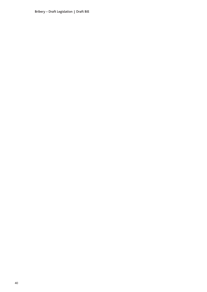Bribery – Draft Legislation | Draft Bill